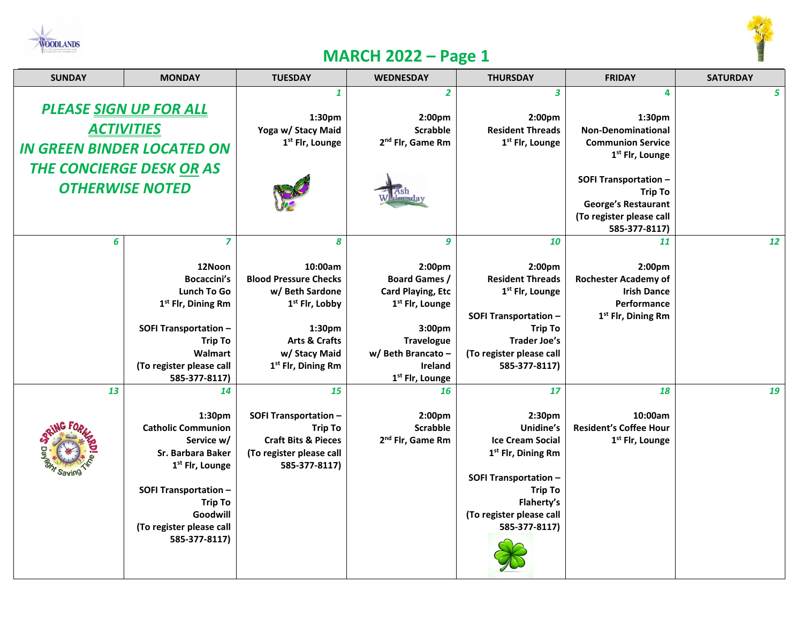



## **MARCH 2022 – Page 1**

| <b>SUNDAY</b>                     | <b>MONDAY</b>                             | <b>TUESDAY</b>                 | <b>WEDNESDAY</b>                  | <b>THURSDAY</b>                   | <b>FRIDAY</b>                                          | <b>SATURDAY</b> |
|-----------------------------------|-------------------------------------------|--------------------------------|-----------------------------------|-----------------------------------|--------------------------------------------------------|-----------------|
|                                   |                                           | $\mathbf{1}$                   | $\overline{2}$                    | $\overline{\mathbf{3}}$           | 4                                                      | 5               |
| <b>PLEASE SIGN UP FOR ALL</b>     |                                           |                                |                                   |                                   |                                                        |                 |
|                                   |                                           | 1:30pm<br>Yoga w/ Stacy Maid   | 2:00pm<br><b>Scrabble</b>         | 2:00pm<br><b>Resident Threads</b> | 1:30pm<br><b>Non-Denominational</b>                    |                 |
| <b>ACTIVITIES</b>                 |                                           | 1 <sup>st</sup> Flr, Lounge    | 2 <sup>nd</sup> Flr, Game Rm      | 1st Flr, Lounge                   | <b>Communion Service</b>                               |                 |
| <b>IN GREEN BINDER LOCATED ON</b> |                                           |                                |                                   |                                   | 1 <sup>st</sup> Flr, Lounge                            |                 |
| <b>THE CONCIERGE DESK OR AS</b>   |                                           |                                |                                   |                                   |                                                        |                 |
| <b>OTHERWISE NOTED</b>            |                                           |                                |                                   |                                   | <b>SOFI Transportation -</b>                           |                 |
|                                   |                                           |                                |                                   |                                   | <b>Trip To</b>                                         |                 |
|                                   |                                           |                                |                                   |                                   | <b>George's Restaurant</b><br>(To register please call |                 |
|                                   |                                           |                                |                                   |                                   | 585-377-8117)                                          |                 |
| 6                                 | $\overline{z}$                            | 8                              | 9                                 | 10                                | 11                                                     | 12              |
|                                   |                                           |                                |                                   |                                   |                                                        |                 |
|                                   | 12Noon                                    | 10:00am                        | 2:00pm                            | 2:00pm                            | 2:00pm                                                 |                 |
|                                   | <b>Bocaccini's</b>                        | <b>Blood Pressure Checks</b>   | <b>Board Games /</b>              | <b>Resident Threads</b>           | <b>Rochester Academy of</b>                            |                 |
|                                   | Lunch To Go                               | w/ Beth Sardone                | <b>Card Playing, Etc</b>          | 1 <sup>st</sup> Flr, Lounge       | <b>Irish Dance</b>                                     |                 |
|                                   | 1 <sup>st</sup> Flr, Dining Rm            | 1 <sup>st</sup> Flr, Lobby     | 1 <sup>st</sup> Flr, Lounge       |                                   | Performance                                            |                 |
|                                   |                                           |                                |                                   | <b>SOFI Transportation -</b>      | 1 <sup>st</sup> Flr, Dining Rm                         |                 |
|                                   | <b>SOFI Transportation -</b>              | 1:30pm                         | 3:00pm                            | <b>Trip To</b>                    |                                                        |                 |
|                                   | <b>Trip To</b>                            | <b>Arts &amp; Crafts</b>       | <b>Travelogue</b>                 | <b>Trader Joe's</b>               |                                                        |                 |
|                                   | Walmart                                   | w/ Stacy Maid                  | w/ Beth Brancato -                | (To register please call          |                                                        |                 |
|                                   | (To register please call                  | 1 <sup>st</sup> Flr, Dining Rm | <b>Ireland</b>                    | 585-377-8117)                     |                                                        |                 |
| 13                                | 585-377-8117)                             | 15                             | 1 <sup>st</sup> Flr, Lounge<br>16 | 17                                | 18                                                     | 19              |
|                                   | 14                                        |                                |                                   |                                   |                                                        |                 |
|                                   | 1:30pm                                    | <b>SOFI Transportation -</b>   | 2:00pm                            | 2:30pm                            | 10:00am                                                |                 |
|                                   | <b>Catholic Communion</b>                 | <b>Trip To</b>                 | <b>Scrabble</b>                   | Unidine's                         | <b>Resident's Coffee Hour</b>                          |                 |
|                                   | Service w/                                | <b>Craft Bits &amp; Pieces</b> | 2 <sup>nd</sup> Flr, Game Rm      | <b>Ice Cream Social</b>           | 1 <sup>st</sup> Flr, Lounge                            |                 |
|                                   | Sr. Barbara Baker                         | (To register please call       |                                   | 1 <sup>st</sup> Flr, Dining Rm    |                                                        |                 |
|                                   | 1 <sup>st</sup> Flr, Lounge               | 585-377-8117)                  |                                   |                                   |                                                        |                 |
|                                   |                                           |                                |                                   | <b>SOFI Transportation -</b>      |                                                        |                 |
|                                   | <b>SOFI Transportation -</b>              |                                |                                   | <b>Trip To</b>                    |                                                        |                 |
|                                   | <b>Trip To</b>                            |                                |                                   | Flaherty's                        |                                                        |                 |
|                                   | Goodwill                                  |                                |                                   | (To register please call          |                                                        |                 |
|                                   | (To register please call<br>585-377-8117) |                                |                                   | 585-377-8117)                     |                                                        |                 |
|                                   |                                           |                                |                                   |                                   |                                                        |                 |